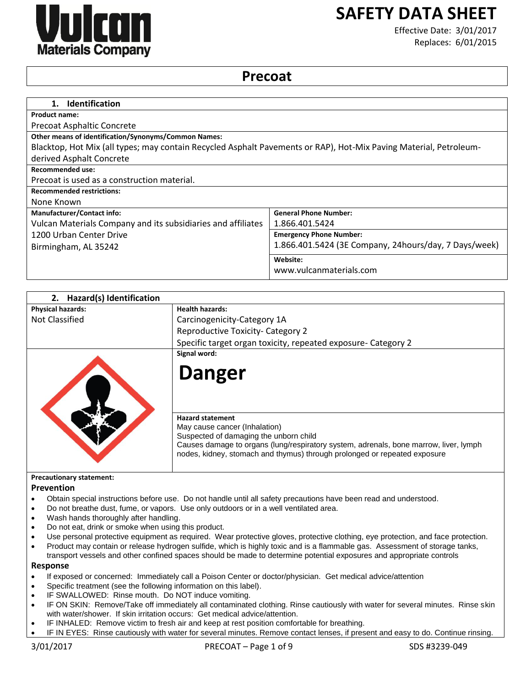

# **SAFETY DATA SHEET**

Effective Date: 3/01/2017 Replaces: 6/01/2015

# **Precoat**

| <b>Identification</b><br>1.                                                                                       |                                                       |  |
|-------------------------------------------------------------------------------------------------------------------|-------------------------------------------------------|--|
| <b>Product name:</b>                                                                                              |                                                       |  |
| <b>Precoat Asphaltic Concrete</b>                                                                                 |                                                       |  |
| <b>Other means of identification/Synonyms/Common Names:</b>                                                       |                                                       |  |
| Blacktop, Hot Mix (all types; may contain Recycled Asphalt Pavements or RAP), Hot-Mix Paving Material, Petroleum- |                                                       |  |
| derived Asphalt Concrete                                                                                          |                                                       |  |
| <b>Recommended use:</b>                                                                                           |                                                       |  |
| Precoat is used as a construction material.                                                                       |                                                       |  |
| <b>Recommended restrictions:</b>                                                                                  |                                                       |  |
| None Known                                                                                                        |                                                       |  |
| <b>Manufacturer/Contact info:</b>                                                                                 | <b>General Phone Number:</b>                          |  |
| Vulcan Materials Company and its subsidiaries and affiliates                                                      | 1.866.401.5424                                        |  |
| 1200 Urban Center Drive                                                                                           | <b>Emergency Phone Number:</b>                        |  |
| Birmingham, AL 35242                                                                                              | 1.866.401.5424 (3E Company, 24hours/day, 7 Days/week) |  |
|                                                                                                                   | Website:                                              |  |
|                                                                                                                   | www.vulcanmaterials.com                               |  |

| <b>Hazard(s) Identification</b><br>2. |                                                                                                                                                                    |
|---------------------------------------|--------------------------------------------------------------------------------------------------------------------------------------------------------------------|
| <b>Physical hazards:</b>              | <b>Health hazards:</b>                                                                                                                                             |
| Not Classified                        | Carcinogenicity-Category 1A                                                                                                                                        |
|                                       | Reproductive Toxicity- Category 2                                                                                                                                  |
|                                       | Specific target organ toxicity, repeated exposure- Category 2                                                                                                      |
|                                       | Signal word:                                                                                                                                                       |
|                                       | <b>Danger</b>                                                                                                                                                      |
|                                       | <b>Hazard statement</b>                                                                                                                                            |
|                                       | May cause cancer (Inhalation)<br>Suspected of damaging the unborn child                                                                                            |
|                                       | Causes damage to organs (lung/respiratory system, adrenals, bone marrow, liver, lymph<br>nodes, kidney, stomach and thymus) through prolonged or repeated exposure |
| <b>Precautionary statement:</b>       |                                                                                                                                                                    |
| <b>Prevention</b>                     |                                                                                                                                                                    |

- Obtain special instructions before use. Do not handle until all safety precautions have been read and understood.
- Do not breathe dust, fume, or vapors. Use only outdoors or in a well ventilated area.
- Wash hands thoroughly after handling.
- Do not eat, drink or smoke when using this product.
- Use personal protective equipment as required. Wear protective gloves, protective clothing, eye protection, and face protection. Product may contain or release hydrogen sulfide, which is highly toxic and is a flammable gas. Assessment of storage tanks,
- transport vessels and other confined spaces should be made to determine potential exposures and appropriate controls **Response**
- If exposed or concerned: Immediately call a Poison Center or doctor/physician. Get medical advice/attention
- Specific treatment (see the following information on this label).
- IF SWALLOWED: Rinse mouth. Do NOT induce vomiting.
- IF ON SKIN: Remove/Take off immediately all contaminated clothing. Rinse cautiously with water for several minutes. Rinse skin with water/shower. If skin irritation occurs: Get medical advice/attention.
- IF INHALED: Remove victim to fresh air and keep at rest position comfortable for breathing.
- IF IN EYES: Rinse cautiously with water for several minutes. Remove contact lenses, if present and easy to do. Continue rinsing.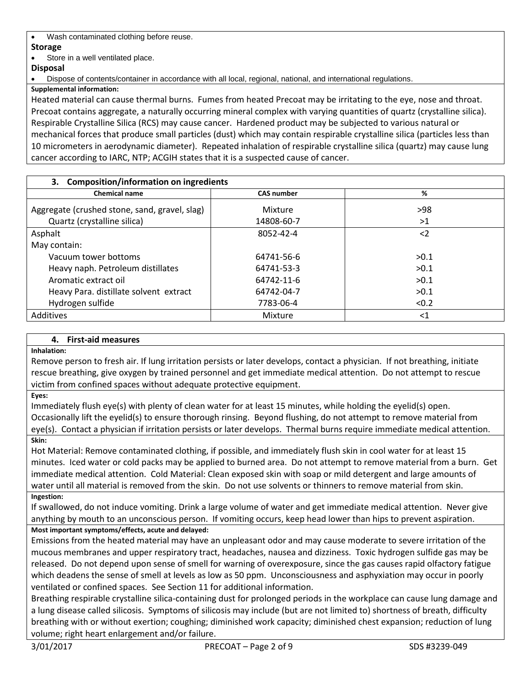Wash contaminated clothing before reuse.

# **Storage**

Store in a well ventilated place.

# **Disposal**

Dispose of contents/container in accordance with all local, regional, national, and international regulations.

**Supplemental information:**

Heated material can cause thermal burns. Fumes from heated Precoat may be irritating to the eye, nose and throat. Precoat contains aggregate, a naturally occurring mineral complex with varying quantities of quartz (crystalline silica). Respirable Crystalline Silica (RCS) may cause cancer. Hardened product may be subjected to various natural or mechanical forces that produce small particles (dust) which may contain respirable crystalline silica (particles less than 10 micrometers in aerodynamic diameter). Repeated inhalation of respirable crystalline silica (quartz) may cause lung cancer according to IARC, NTP; ACGIH states that it is a suspected cause of cancer.

| 3. Composition/information on ingredients                                    |                       |           |  |
|------------------------------------------------------------------------------|-----------------------|-----------|--|
| <b>Chemical name</b>                                                         | <b>CAS number</b>     | %         |  |
| Aggregate (crushed stone, sand, gravel, slag)<br>Quartz (crystalline silica) | Mixture<br>14808-60-7 | >98<br>>1 |  |
| Asphalt                                                                      | 8052-42-4             | $<$ 2     |  |
| May contain:                                                                 |                       |           |  |
| Vacuum tower bottoms                                                         | 64741-56-6            | >0.1      |  |
| Heavy naph. Petroleum distillates                                            | 64741-53-3            | >0.1      |  |
| Aromatic extract oil                                                         | 64742-11-6            | >0.1      |  |
| Heavy Para. distillate solvent extract                                       | 64742-04-7            | >0.1      |  |
| Hydrogen sulfide                                                             | 7783-06-4             | < 0.2     |  |
| Additives                                                                    | Mixture               | $<$ 1     |  |

# **4. First-aid measures**

# **Inhalation:**

Remove person to fresh air. If lung irritation persists or later develops, contact a physician. If not breathing, initiate rescue breathing, give oxygen by trained personnel and get immediate medical attention. Do not attempt to rescue victim from confined spaces without adequate protective equipment.

# **Eyes:**

Immediately flush eye(s) with plenty of clean water for at least 15 minutes, while holding the eyelid(s) open. Occasionally lift the eyelid(s) to ensure thorough rinsing. Beyond flushing, do not attempt to remove material from eye(s). Contact a physician if irritation persists or later develops. Thermal burns require immediate medical attention.

# **Skin:**

Hot Material: Remove contaminated clothing, if possible, and immediately flush skin in cool water for at least 15 minutes. Iced water or cold packs may be applied to burned area. Do not attempt to remove material from a burn. Get immediate medical attention. Cold Material: Clean exposed skin with soap or mild detergent and large amounts of water until all material is removed from the skin. Do not use solvents or thinners to remove material from skin.

# **Ingestion:**

If swallowed, do not induce vomiting. Drink a large volume of water and get immediate medical attention. Never give anything by mouth to an unconscious person. If vomiting occurs, keep head lower than hips to prevent aspiration.

**Most important symptoms/effects, acute and delayed:**

Emissions from the heated material may have an unpleasant odor and may cause moderate to severe irritation of the mucous membranes and upper respiratory tract, headaches, nausea and dizziness. Toxic hydrogen sulfide gas may be released. Do not depend upon sense of smell for warning of overexposure, since the gas causes rapid olfactory fatigue which deadens the sense of smell at levels as low as 50 ppm. Unconsciousness and asphyxiation may occur in poorly ventilated or confined spaces. See Section 11 for additional information.

Breathing respirable crystalline silica-containing dust for prolonged periods in the workplace can cause lung damage and a lung disease called silicosis. Symptoms of silicosis may include (but are not limited to) shortness of breath, difficulty breathing with or without exertion; coughing; diminished work capacity; diminished chest expansion; reduction of lung volume; right heart enlargement and/or failure.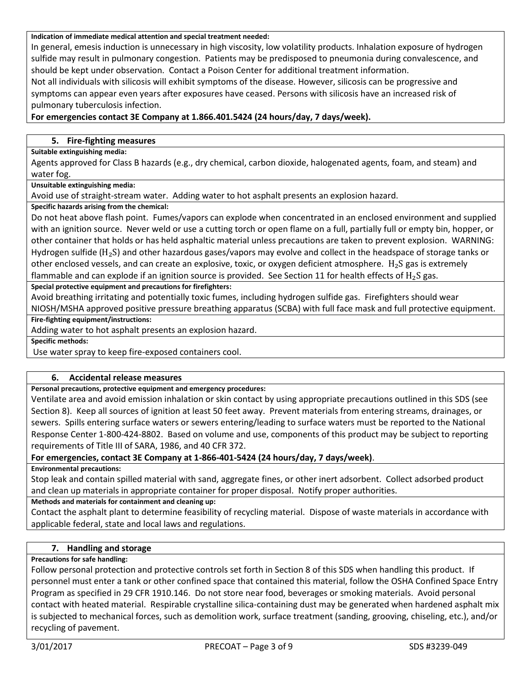#### **Indication of immediate medical attention and special treatment needed:**

In general, emesis induction is unnecessary in high viscosity, low volatility products. Inhalation exposure of hydrogen sulfide may result in pulmonary congestion. Patients may be predisposed to pneumonia during convalescence, and should be kept under observation. Contact a Poison Center for additional treatment information.

Not all individuals with silicosis will exhibit symptoms of the disease. However, silicosis can be progressive and symptoms can appear even years after exposures have ceased. Persons with silicosis have an increased risk of pulmonary tuberculosis infection.

# **For emergencies contact 3E Company at 1.866.401.5424 (24 hours/day, 7 days/week).**

# **5. Fire-fighting measures**

#### **Suitable extinguishing media:**

Agents approved for Class B hazards (e.g., dry chemical, carbon dioxide, halogenated agents, foam, and steam) and water fog.

#### **Unsuitable extinguishing media:**

Avoid use of straight-stream water. Adding water to hot asphalt presents an explosion hazard.

### **Specific hazards arising from the chemical:**

Do not heat above flash point. Fumes/vapors can explode when concentrated in an enclosed environment and supplied with an ignition source. Never weld or use a cutting torch or open flame on a full, partially full or empty bin, hopper, or other container that holds or has held asphaltic material unless precautions are taken to prevent explosion. WARNING: Hydrogen sulfide ( $H_2S$ ) and other hazardous gases/vapors may evolve and collect in the headspace of storage tanks or other enclosed vessels, and can create an explosive, toxic, or oxygen deficient atmosphere.  $H_2S$  gas is extremely flammable and can explode if an ignition source is provided. See Section 11 for health effects of  $H_2S$  gas.

**Special protective equipment and precautions for firefighters:**

Avoid breathing irritating and potentially toxic fumes, including hydrogen sulfide gas. Firefighters should wear NIOSH/MSHA approved positive pressure breathing apparatus (SCBA) with full face mask and full protective equipment.

**Fire-fighting equipment/instructions:**

Adding water to hot asphalt presents an explosion hazard.

**Specific methods:**

Use water spray to keep fire-exposed containers cool.

# **6. Accidental release measures**

### **Personal precautions, protective equipment and emergency procedures:**

Ventilate area and avoid emission inhalation or skin contact by using appropriate precautions outlined in this SDS (see Section 8). Keep all sources of ignition at least 50 feet away. Prevent materials from entering streams, drainages, or sewers. Spills entering surface waters or sewers entering/leading to surface waters must be reported to the National Response Center 1-800-424-8802. Based on volume and use, components of this product may be subject to reporting requirements of Title III of SARA, 1986, and 40 CFR 372.

### **For emergencies, contact 3E Company at 1-866-401-5424 (24 hours/day, 7 days/week)**.

**Environmental precautions:**

Stop leak and contain spilled material with sand, aggregate fines, or other inert adsorbent. Collect adsorbed product and clean up materials in appropriate container for proper disposal. Notify proper authorities.

### **Methods and materials for containment and cleaning up:**

Contact the asphalt plant to determine feasibility of recycling material. Dispose of waste materials in accordance with applicable federal, state and local laws and regulations.

# **7. Handling and storage**

### **Precautions for safe handling:**

Follow personal protection and protective controls set forth in Section 8 of this SDS when handling this product. If personnel must enter a tank or other confined space that contained this material, follow the OSHA Confined Space Entry Program as specified in 29 CFR 1910.146. Do not store near food, beverages or smoking materials. Avoid personal contact with heated material. Respirable crystalline silica-containing dust may be generated when hardened asphalt mix is subjected to mechanical forces, such as demolition work, surface treatment (sanding, grooving, chiseling, etc.), and/or recycling of pavement.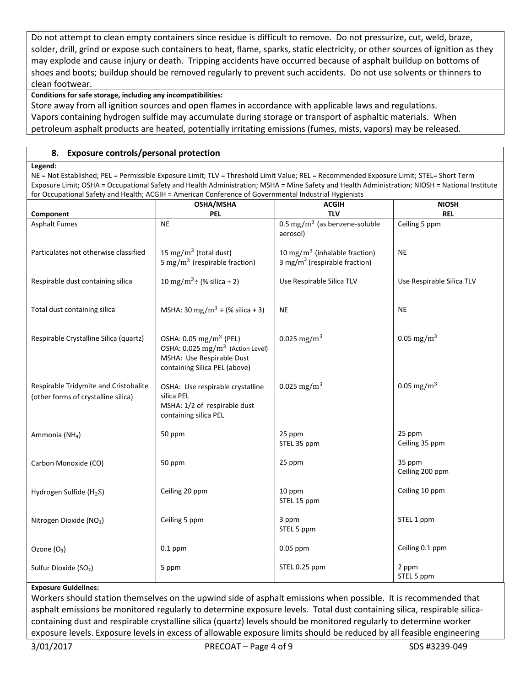Do not attempt to clean empty containers since residue is difficult to remove. Do not pressurize, cut, weld, braze, solder, drill, grind or expose such containers to heat, flame, sparks, static electricity, or other sources of ignition as they may explode and cause injury or death. Tripping accidents have occurred because of asphalt buildup on bottoms of shoes and boots; buildup should be removed regularly to prevent such accidents. Do not use solvents or thinners to clean footwear.

# **Conditions for safe storage, including any incompatibilities:**

Store away from all ignition sources and open flames in accordance with applicable laws and regulations. Vapors containing hydrogen sulfide may accumulate during storage or transport of asphaltic materials. When petroleum asphalt products are heated, potentially irritating emissions (fumes, mists, vapors) may be released.

# **8. Exposure controls/personal protection**

#### **Legend:**

NE = Not Established; PEL = Permissible Exposure Limit; TLV = Threshold Limit Value; REL = Recommended Exposure Limit; STEL= Short Term Exposure Limit; OSHA = Occupational Safety and Health Administration; MSHA = Mine Safety and Health Administration; NIOSH = National Institute for Occupational Safety and Health; ACGIH = American Conference of Governmental Industrial Hygienists

|                                                                              | OSHA/MSHA                                                                                                                                          | <b>ACGIH</b>                                                                  | <b>NIOSH</b>              |
|------------------------------------------------------------------------------|----------------------------------------------------------------------------------------------------------------------------------------------------|-------------------------------------------------------------------------------|---------------------------|
| Component                                                                    | <b>PEL</b>                                                                                                                                         | <b>TLV</b>                                                                    | <b>REL</b>                |
| <b>Asphalt Fumes</b>                                                         | <b>NE</b>                                                                                                                                          | $0.5 \text{ mg/m}^3$ (as benzene-soluble<br>aerosol)                          | Ceiling 5 ppm             |
| Particulates not otherwise classified                                        | 15 mg/m <sup>3</sup> (total dust)<br>5 mg/m <sup>3</sup> (respirable fraction)                                                                     | 10 mg/m $3$ (inhalable fraction)<br>3 mg/m <sup>3</sup> (respirable fraction) | <b>NE</b>                 |
| Respirable dust containing silica                                            | 10 mg/m <sup>3</sup> ÷ (% silica + 2)                                                                                                              | Use Respirable Silica TLV                                                     | Use Respirable Silica TLV |
| Total dust containing silica                                                 | MSHA: 30 mg/m <sup>3</sup> ÷ (% silica + 3)                                                                                                        | <b>NE</b>                                                                     | <b>NE</b>                 |
| Respirable Crystalline Silica (quartz)                                       | OSHA: 0.05 mg/m <sup>3</sup> (PEL)<br>OSHA: $0.025$ mg/m <sup>3</sup> (Action Level)<br>MSHA: Use Respirable Dust<br>containing Silica PEL (above) | 0.025 mg/m <sup>3</sup>                                                       | 0.05 mg/m <sup>3</sup>    |
| Respirable Tridymite and Cristobalite<br>(other forms of crystalline silica) | OSHA: Use respirable crystalline<br>silica PEL<br>MSHA: 1/2 of respirable dust<br>containing silica PEL                                            | 0.025 mg/m <sup>3</sup>                                                       | 0.05 mg/m <sup>3</sup>    |
| Ammonia (NH <sub>3</sub> )                                                   | 50 ppm                                                                                                                                             | 25 ppm<br>STEL 35 ppm                                                         | 25 ppm<br>Ceiling 35 ppm  |
| Carbon Monoxide (CO)                                                         | 50 ppm                                                                                                                                             | 25 ppm                                                                        | 35 ppm<br>Ceiling 200 ppm |
| Hydrogen Sulfide (H <sub>2</sub> S)                                          | Ceiling 20 ppm                                                                                                                                     | 10 ppm<br>STEL 15 ppm                                                         | Ceiling 10 ppm            |
| Nitrogen Dioxide (NO2)                                                       | Ceiling 5 ppm                                                                                                                                      | 3 ppm<br>STEL 5 ppm                                                           | STEL 1 ppm                |
| Ozone (O <sub>3</sub> )                                                      | $0.1$ ppm                                                                                                                                          | $0.05$ ppm                                                                    | Ceiling 0.1 ppm           |
| Sulfur Dioxide (SO <sub>2</sub> )                                            | 5 ppm                                                                                                                                              | STEL 0.25 ppm                                                                 | 2 ppm<br>STEL 5 ppm       |

### **Exposure Guidelines:**

Workers should station themselves on the upwind side of asphalt emissions when possible. It is recommended that asphalt emissions be monitored regularly to determine exposure levels. Total dust containing silica, respirable silicacontaining dust and respirable crystalline silica (quartz) levels should be monitored regularly to determine worker exposure levels. Exposure levels in excess of allowable exposure limits should be reduced by all feasible engineering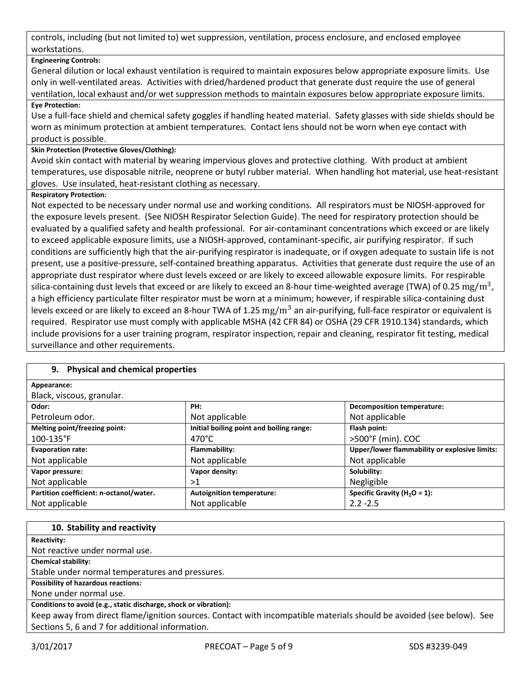controls, including (but not limited to) wet suppression, ventilation, process enclosure, and enclosed employee workstations.

# **Engineering Controls:**

General dilution or local exhaust ventilation is required to maintain exposures below appropriate exposure limits. Use only in well-ventilated areas. Activities with dried/hardened product that generate dust require the use of general ventilation, local exhaust and/or wet suppression methods to maintain exposures below appropriate exposure limits. **Eye Protection:**

Use a full-face shield and chemical safety goggles if handling heated material. Safety glasses with side shields should be worn as minimum protection at ambient temperatures. Contact lens should not be worn when eye contact with product is possible.

# **Skin Protection (Protective Gloves/Clothing):**

Avoid skin contact with material by wearing impervious gloves and protective clothing. With product at ambient temperatures, use disposable nitrile, neoprene or butyl rubber material. When handling hot material, use heat-resistant gloves. Use insulated, heat-resistant clothing as necessary.

# **Respiratory Protection:**

Not expected to be necessary under normal use and working conditions. All respirators must be NIOSH-approved for the exposure levels present. (See NIOSH Respirator Selection Guide). The need for respiratory protection should be evaluated by a qualified safety and health professional. For air-contaminant concentrations which exceed or are likely to exceed applicable exposure limits, use a NIOSH-approved, contaminant-specific, air purifying respirator. If such conditions are sufficiently high that the air-purifying respirator is inadequate, or if oxygen adequate to sustain life is not present, use a positive-pressure, self-contained breathing apparatus. Activities that generate dust require the use of an appropriate dust respirator where dust levels exceed or are likely to exceed allowable exposure limits. For respirable silica-containing dust levels that exceed or are likely to exceed an 8-hour time-weighted average (TWA) of 0.25  $\rm mg/m^3$ , a high efficiency particulate filter respirator must be worn at a minimum; however, if respirable silica-containing dust levels exceed or are likely to exceed an 8-hour TWA of 1.25  $\rm mg/m^3$  an air-purifying, full-face respirator or equivalent is required. Respirator use must comply with applicable MSHA (42 CFR 84) or OSHA (29 CFR 1910.134) standards, which include provisions for a user training program, respirator inspection, repair and cleaning, respirator fit testing, medical surveillance and other requirements.

# **9. Physical and chemical properties**

| Appearance:                             |                                          |                                               |
|-----------------------------------------|------------------------------------------|-----------------------------------------------|
| Black, viscous, granular.               |                                          |                                               |
| Odor:                                   | PH:                                      | <b>Decomposition temperature:</b>             |
| Petroleum odor.                         | Not applicable                           | Not applicable                                |
| Melting point/freezing point:           | Initial boiling point and boiling range: | Flash point:                                  |
| $100 - 135$ °F                          | 470°C                                    | >500°F (min). COC                             |
| <b>Evaporation rate:</b>                | Flammability:                            | Upper/lower flammability or explosive limits: |
| Not applicable                          | Not applicable                           | Not applicable                                |
| Vapor pressure:                         | Vapor density:                           | Solubility:                                   |
| Not applicable                          | >1                                       | Negligible                                    |
| Partition coefficient: n-octanol/water. | <b>Autoignition temperature:</b>         | Specific Gravity ( $H_2O = 1$ ):              |
| Not applicable                          | Not applicable                           | $2.2 - 2.5$                                   |

### **10. Stability and reactivity**

**Reactivity:**

Not reactive under normal use.

**Chemical stability:**

Stable under normal temperatures and pressures.

**Possibility of hazardous reactions:**

None under normal use.

**Conditions to avoid (e.g., static discharge, shock or vibration):**

Keep away from direct flame/ignition sources. Contact with incompatible materials should be avoided (see below). See Sections 5, 6 and 7 for additional information.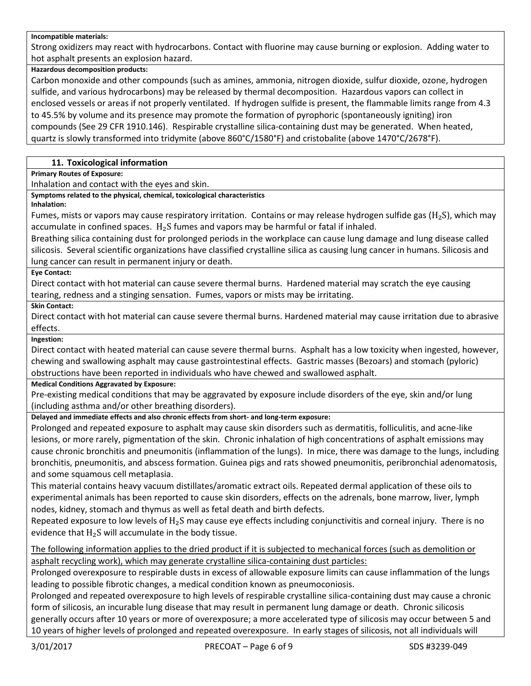#### **Incompatible materials:**

Strong oxidizers may react with hydrocarbons. Contact with fluorine may cause burning or explosion. Adding water to hot asphalt presents an explosion hazard.

#### **Hazardous decomposition products:**

Carbon monoxide and other compounds (such as amines, ammonia, nitrogen dioxide, sulfur dioxide, ozone, hydrogen sulfide, and various hydrocarbons) may be released by thermal decomposition. Hazardous vapors can collect in enclosed vessels or areas if not properly ventilated. If hydrogen sulfide is present, the flammable limits range from 4.3 to 45.5% by volume and its presence may promote the formation of pyrophoric (spontaneously igniting) iron compounds (See 29 CFR 1910.146). Respirable crystalline silica-containing dust may be generated. When heated, quartz is slowly transformed into tridymite (above 860°C/1580°F) and cristobalite (above 1470°C/2678°F).

# **11. Toxicological information**

**Primary Routes of Exposure:**

Inhalation and contact with the eyes and skin.

**Symptoms related to the physical, chemical, toxicological characteristics**

#### **Inhalation:**

Fumes, mists or vapors may cause respiratory irritation. Contains or may release hydrogen sulfide gas ( $H_2S$ ), which may accumulate in confined spaces.  $H_2S$  fumes and vapors may be harmful or fatal if inhaled.

Breathing silica containing dust for prolonged periods in the workplace can cause lung damage and lung disease called silicosis. Several scientific organizations have classified crystalline silica as causing lung cancer in humans. Silicosis and lung cancer can result in permanent injury or death.

#### **Eye Contact:**

Direct contact with hot material can cause severe thermal burns. Hardened material may scratch the eye causing tearing, redness and a stinging sensation. Fumes, vapors or mists may be irritating.

**Skin Contact:**

Direct contact with hot material can cause severe thermal burns. Hardened material may cause irritation due to abrasive effects.

**Ingestion:**

Direct contact with heated material can cause severe thermal burns. Asphalt has a low toxicity when ingested, however, chewing and swallowing asphalt may cause gastrointestinal effects. Gastric masses (Bezoars) and stomach (pyloric) obstructions have been reported in individuals who have chewed and swallowed asphalt.

### **Medical Conditions Aggravated by Exposure:**

Pre-existing medical conditions that may be aggravated by exposure include disorders of the eye, skin and/or lung (including asthma and/or other breathing disorders).

**Delayed and immediate effects and also chronic effects from short- and long-term exposure:**

Prolonged and repeated exposure to asphalt may cause skin disorders such as dermatitis, folliculitis, and acne-like lesions, or more rarely, pigmentation of the skin. Chronic inhalation of high concentrations of asphalt emissions may cause chronic bronchitis and pneumonitis (inflammation of the lungs). In mice, there was damage to the lungs, including bronchitis, pneumonitis, and abscess formation. Guinea pigs and rats showed pneumonitis, peribronchial adenomatosis, and some squamous cell metaplasia.

This material contains heavy vacuum distillates/aromatic extract oils. Repeated dermal application of these oils to experimental animals has been reported to cause skin disorders, effects on the adrenals, bone marrow, liver, lymph nodes, kidney, stomach and thymus as well as fetal death and birth defects.

Repeated exposure to low levels of  $H_2S$  may cause eye effects including conjunctivitis and corneal injury. There is no evidence that  $H_2S$  will accumulate in the body tissue.

The following information applies to the dried product if it is subjected to mechanical forces (such as demolition or asphalt recycling work), which may generate crystalline silica-containing dust particles:

Prolonged overexposure to respirable dusts in excess of allowable exposure limits can cause inflammation of the lungs leading to possible fibrotic changes, a medical condition known as pneumoconiosis.

Prolonged and repeated overexposure to high levels of respirable crystalline silica-containing dust may cause a chronic form of silicosis, an incurable lung disease that may result in permanent lung damage or death. Chronic silicosis generally occurs after 10 years or more of overexposure; a more accelerated type of silicosis may occur between 5 and 10 years of higher levels of prolonged and repeated overexposure. In early stages of silicosis, not all individuals will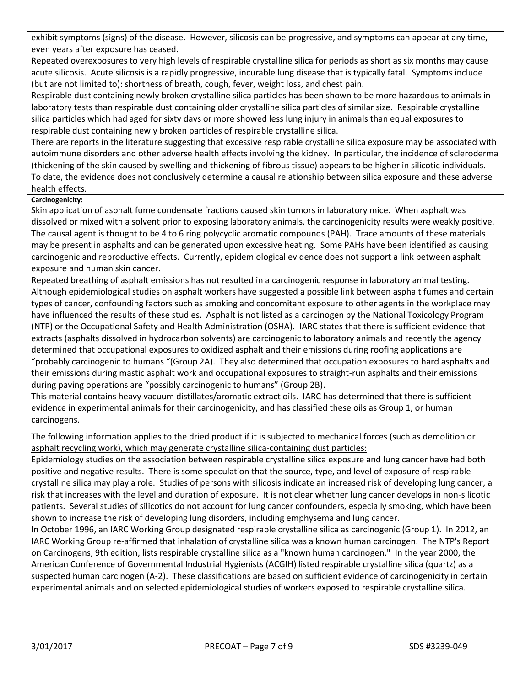exhibit symptoms (signs) of the disease. However, silicosis can be progressive, and symptoms can appear at any time, even years after exposure has ceased.

Repeated overexposures to very high levels of respirable crystalline silica for periods as short as six months may cause acute silicosis. Acute silicosis is a rapidly progressive, incurable lung disease that is typically fatal. Symptoms include (but are not limited to): shortness of breath, cough, fever, weight loss, and chest pain.

Respirable dust containing newly broken crystalline silica particles has been shown to be more hazardous to animals in laboratory tests than respirable dust containing older crystalline silica particles of similar size. Respirable crystalline silica particles which had aged for sixty days or more showed less lung injury in animals than equal exposures to respirable dust containing newly broken particles of respirable crystalline silica.

There are reports in the literature suggesting that excessive respirable crystalline silica exposure may be associated with autoimmune disorders and other adverse health effects involving the kidney. In particular, the incidence of scleroderma (thickening of the skin caused by swelling and thickening of fibrous tissue) appears to be higher in silicotic individuals. To date, the evidence does not conclusively determine a causal relationship between silica exposure and these adverse health effects.

# **Carcinogenicity:**

Skin application of asphalt fume condensate fractions caused skin tumors in laboratory mice. When asphalt was dissolved or mixed with a solvent prior to exposing laboratory animals, the carcinogenicity results were weakly positive. The causal agent is thought to be 4 to 6 ring polycyclic aromatic compounds (PAH). Trace amounts of these materials may be present in asphalts and can be generated upon excessive heating. Some PAHs have been identified as causing carcinogenic and reproductive effects. Currently, epidemiological evidence does not support a link between asphalt exposure and human skin cancer.

Repeated breathing of asphalt emissions has not resulted in a carcinogenic response in laboratory animal testing. Although epidemiological studies on asphalt workers have suggested a possible link between asphalt fumes and certain types of cancer, confounding factors such as smoking and concomitant exposure to other agents in the workplace may have influenced the results of these studies. Asphalt is not listed as a carcinogen by the National Toxicology Program (NTP) or the Occupational Safety and Health Administration (OSHA). IARC states that there is sufficient evidence that extracts (asphalts dissolved in hydrocarbon solvents) are carcinogenic to laboratory animals and recently the agency determined that occupational exposures to oxidized asphalt and their emissions during roofing applications are "probably carcinogenic to humans "(Group 2A). They also determined that occupation exposures to hard asphalts and their emissions during mastic asphalt work and occupational exposures to straight-run asphalts and their emissions during paving operations are "possibly carcinogenic to humans" (Group 2B).

This material contains heavy vacuum distillates/aromatic extract oils. IARC has determined that there is sufficient evidence in experimental animals for their carcinogenicity, and has classified these oils as Group 1, or human carcinogens.

# The following information applies to the dried product if it is subjected to mechanical forces (such as demolition or asphalt recycling work), which may generate crystalline silica-containing dust particles:

Epidemiology studies on the association between respirable crystalline silica exposure and lung cancer have had both positive and negative results. There is some speculation that the source, type, and level of exposure of respirable crystalline silica may play a role. Studies of persons with silicosis indicate an increased risk of developing lung cancer, a risk that increases with the level and duration of exposure. It is not clear whether lung cancer develops in non-silicotic patients. Several studies of silicotics do not account for lung cancer confounders, especially smoking, which have been shown to increase the risk of developing lung disorders, including emphysema and lung cancer.

In October 1996, an IARC Working Group designated respirable crystalline silica as carcinogenic (Group 1). In 2012, an IARC Working Group re-affirmed that inhalation of crystalline silica was a known human carcinogen. The NTP's Report on Carcinogens, 9th edition, lists respirable crystalline silica as a "known human carcinogen." In the year 2000, the American Conference of Governmental Industrial Hygienists (ACGIH) listed respirable crystalline silica (quartz) as a suspected human carcinogen (A-2). These classifications are based on sufficient evidence of carcinogenicity in certain experimental animals and on selected epidemiological studies of workers exposed to respirable crystalline silica.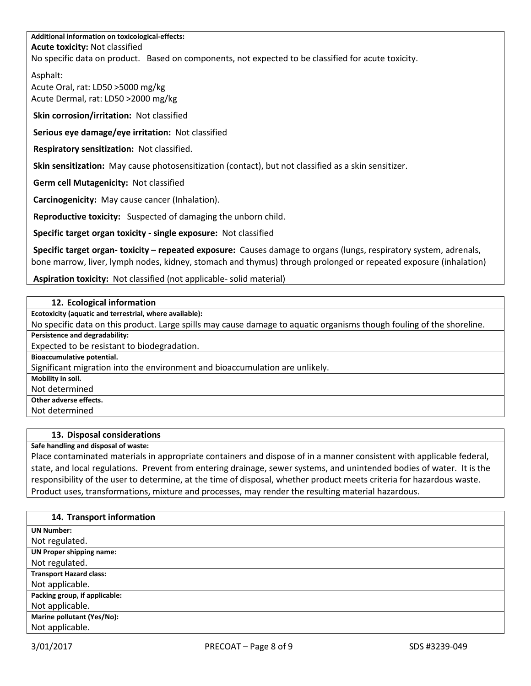# **Additional information on toxicological-effects: Acute toxicity:** Not classified No specific data on product. Based on components, not expected to be classified for acute toxicity.

Asphalt:

Acute Oral, rat: LD50 >5000 mg/kg Acute Dermal, rat: LD50 >2000 mg/kg

**Skin corrosion/irritation:** Not classified

**Serious eye damage/eye irritation:** Not classified

**Respiratory sensitization:** Not classified.

**Skin sensitization:** May cause photosensitization (contact), but not classified as a skin sensitizer.

**Germ cell Mutagenicity:** Not classified

**Carcinogenicity:** May cause cancer (Inhalation).

**Reproductive toxicity:** Suspected of damaging the unborn child.

**Specific target organ toxicity - single exposure:** Not classified

**Specific target organ- toxicity – repeated exposure:** Causes damage to organs (lungs, respiratory system, adrenals, bone marrow, liver, lymph nodes, kidney, stomach and thymus) through prolonged or repeated exposure (inhalation)

**Aspiration toxicity:** Not classified (not applicable- solid material)

### **12. Ecological information**

**Ecotoxicity (aquatic and terrestrial, where available):**

No specific data on this product. Large spills may cause damage to aquatic organisms though fouling of the shoreline.

**Persistence and degradability:**

Expected to be resistant to biodegradation.

**Bioaccumulative potential.**

Significant migration into the environment and bioaccumulation are unlikely.

**Mobility in soil.**

Not determined

**Other adverse effects.**

Not determined

### **13. Disposal considerations**

**Safe handling and disposal of waste:**

Place contaminated materials in appropriate containers and dispose of in a manner consistent with applicable federal, state, and local regulations. Prevent from entering drainage, sewer systems, and unintended bodies of water. It is the responsibility of the user to determine, at the time of disposal, whether product meets criteria for hazardous waste. Product uses, transformations, mixture and processes, may render the resulting material hazardous.

| 14. Transport information      |
|--------------------------------|
| <b>UN Number:</b>              |
| Not regulated.                 |
| UN Proper shipping name:       |
| Not regulated.                 |
| <b>Transport Hazard class:</b> |
| Not applicable.                |
| Packing group, if applicable:  |
| Not applicable.                |
| Marine pollutant (Yes/No):     |
| Not applicable.                |